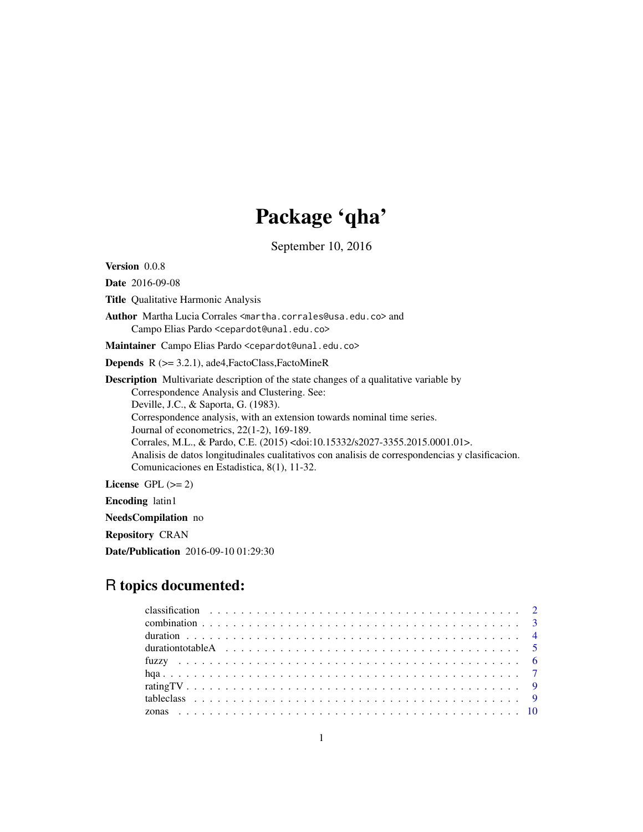# Package 'qha'

September 10, 2016

Version 0.0.8

Date 2016-09-08

Title Qualitative Harmonic Analysis

Author Martha Lucia Corrales <martha.corrales@usa.edu.co> and Campo Elias Pardo <cepardot@unal.edu.co>

Maintainer Campo Elias Pardo <cepardot@unal.edu.co>

Depends R (>= 3.2.1), ade4,FactoClass,FactoMineR

Description Multivariate description of the state changes of a qualitative variable by Correspondence Analysis and Clustering. See: Deville, J.C., & Saporta, G. (1983). Correspondence analysis, with an extension towards nominal time series. Journal of econometrics, 22(1-2), 169-189. Corrales, M.L., & Pardo, C.E. (2015) <doi:10.15332/s2027-3355.2015.0001.01>. Analisis de datos longitudinales cualitativos con analisis de correspondencias y clasificacion. Comunicaciones en Estadistica, 8(1), 11-32.

License GPL  $(>= 2)$ 

Encoding latin1

NeedsCompilation no

Repository CRAN

Date/Publication 2016-09-10 01:29:30

## R topics documented:

| duration to table A $\ldots \ldots \ldots \ldots \ldots \ldots \ldots \ldots \ldots \ldots \ldots \ldots$ |  |
|-----------------------------------------------------------------------------------------------------------|--|
|                                                                                                           |  |
|                                                                                                           |  |
|                                                                                                           |  |
|                                                                                                           |  |
|                                                                                                           |  |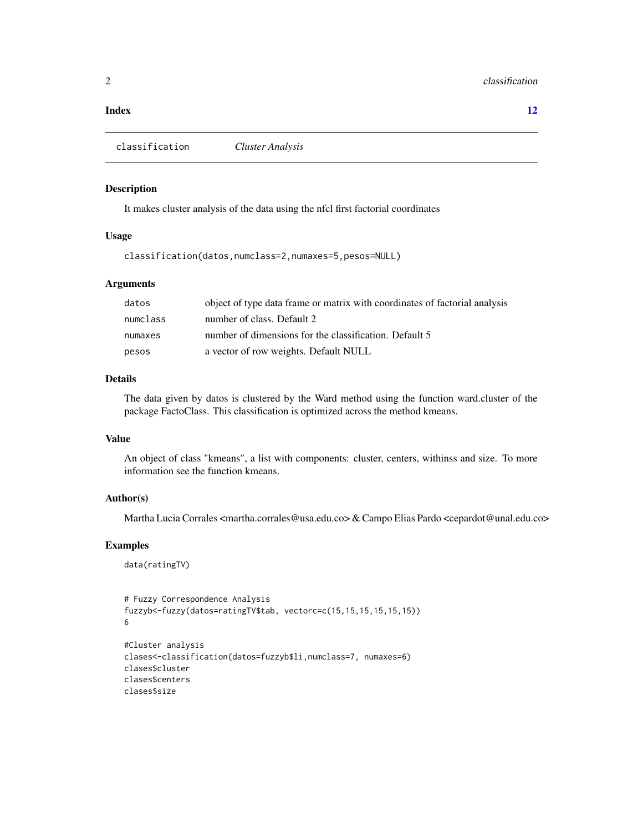#### <span id="page-1-0"></span>**Index** [12](#page-11-0)

classification *Cluster Analysis*

#### Description

It makes cluster analysis of the data using the nfcl first factorial coordinates

#### Usage

classification(datos,numclass=2,numaxes=5,pesos=NULL)

#### Arguments

| datos    | object of type data frame or matrix with coordinates of factorial analysis |
|----------|----------------------------------------------------------------------------|
| numclass | number of class. Default 2                                                 |
| numaxes  | number of dimensions for the classification. Default 5                     |
| pesos    | a vector of row weights. Default NULL                                      |

#### Details

The data given by datos is clustered by the Ward method using the function ward.cluster of the package FactoClass. This classification is optimized across the method kmeans.

#### Value

An object of class "kmeans", a list with components: cluster, centers, withinss and size. To more information see the function kmeans.

#### Author(s)

Martha Lucia Corrales <martha.corrales@usa.edu.co> & Campo Elias Pardo <cepardot@unal.edu.co>

#### Examples

```
data(ratingTV)
```

```
# Fuzzy Correspondence Analysis
fuzzyb<-fuzzy(datos=ratingTV$tab, vectorc=c(15,15,15,15,15,15))
6
#Cluster analysis
clases<-classification(datos=fuzzyb$li,numclass=7, numaxes=6)
clases$cluster
clases$centers
clases$size
```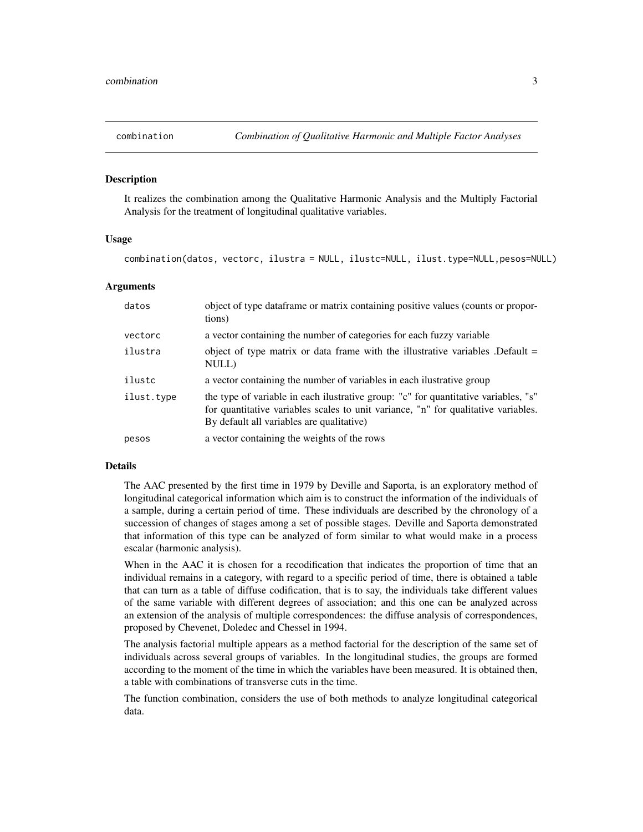<span id="page-2-0"></span>

It realizes the combination among the Qualitative Harmonic Analysis and the Multiply Factorial Analysis for the treatment of longitudinal qualitative variables.

#### Usage

combination(datos, vectorc, ilustra = NULL, ilustc=NULL, ilust.type=NULL,pesos=NULL)

#### Arguments

| datos      | object of type dataframe or matrix containing positive values (counts or propor-<br>tions)                                                                                                                             |
|------------|------------------------------------------------------------------------------------------------------------------------------------------------------------------------------------------------------------------------|
| vectorc    | a vector containing the number of categories for each fuzzy variable                                                                                                                                                   |
| ilustra    | object of type matrix or data frame with the illustrative variables. Default $=$<br>NULL)                                                                                                                              |
| ilustc     | a vector containing the number of variables in each illustrative group                                                                                                                                                 |
| ilust.type | the type of variable in each ilustrative group: "c" for quantitative variables, "s"<br>for quantitative variables scales to unit variance, "n" for qualitative variables.<br>By default all variables are qualitative) |
| pesos      | a vector containing the weights of the rows                                                                                                                                                                            |

#### Details

The AAC presented by the first time in 1979 by Deville and Saporta, is an exploratory method of longitudinal categorical information which aim is to construct the information of the individuals of a sample, during a certain period of time. These individuals are described by the chronology of a succession of changes of stages among a set of possible stages. Deville and Saporta demonstrated that information of this type can be analyzed of form similar to what would make in a process escalar (harmonic analysis).

When in the AAC it is chosen for a recodification that indicates the proportion of time that an individual remains in a category, with regard to a specific period of time, there is obtained a table that can turn as a table of diffuse codification, that is to say, the individuals take different values of the same variable with different degrees of association; and this one can be analyzed across an extension of the analysis of multiple correspondences: the diffuse analysis of correspondences, proposed by Chevenet, Doledec and Chessel in 1994.

The analysis factorial multiple appears as a method factorial for the description of the same set of individuals across several groups of variables. In the longitudinal studies, the groups are formed according to the moment of the time in which the variables have been measured. It is obtained then, a table with combinations of transverse cuts in the time.

The function combination, considers the use of both methods to analyze longitudinal categorical data.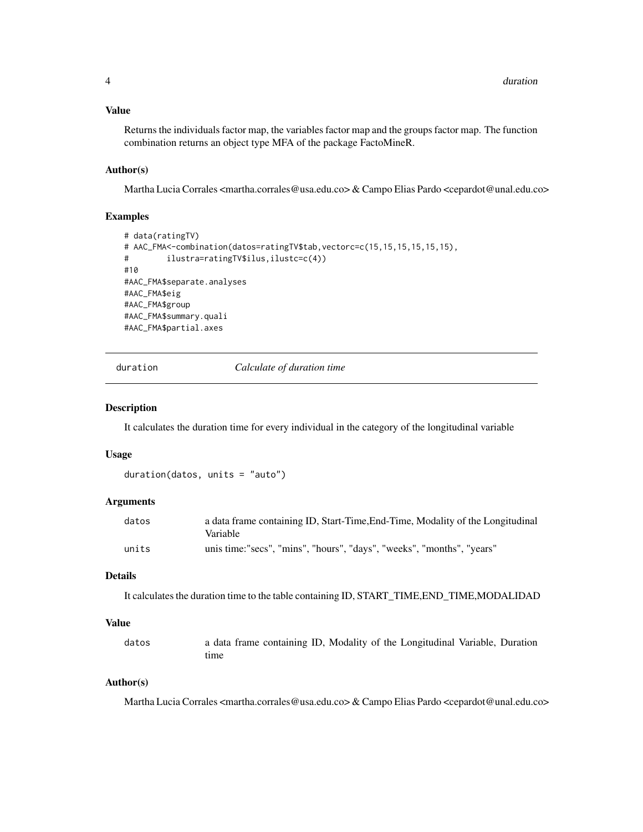#### <span id="page-3-0"></span>Value

Returns the individuals factor map, the variables factor map and the groups factor map. The function combination returns an object type MFA of the package FactoMineR.

#### Author(s)

Martha Lucia Corrales <martha.corrales@usa.edu.co> & Campo Elias Pardo <cepardot@unal.edu.co>

#### Examples

```
# data(ratingTV)
# AAC_FMA<-combination(datos=ratingTV$tab,vectorc=c(15,15,15,15,15,15),
# ilustra=ratingTV$ilus,ilustc=c(4))
#10
#AAC_FMA$separate.analyses
#AAC_FMA$eig
#AAC_FMA$group
#AAC_FMA$summary.quali
#AAC_FMA$partial.axes
```
duration *Calculate of duration time*

#### Description

It calculates the duration time for every individual in the category of the longitudinal variable

#### Usage

```
duration(datos, units = "auto")
```
#### Arguments

| datos | a data frame containing ID, Start-Time, End-Time, Modality of the Longitudinal |
|-------|--------------------------------------------------------------------------------|
|       | Variable                                                                       |
| units | unis time:"secs", "mins", "hours", "days", "weeks", "months", "years"          |

#### Details

It calculates the duration time to the table containing ID, START\_TIME,END\_TIME,MODALIDAD

#### Value

| datos | a data frame containing ID, Modality of the Longitudinal Variable, Duration |
|-------|-----------------------------------------------------------------------------|
|       | tıme                                                                        |

#### Author(s)

Martha Lucia Corrales <martha.corrales@usa.edu.co> & Campo Elias Pardo <cepardot@unal.edu.co>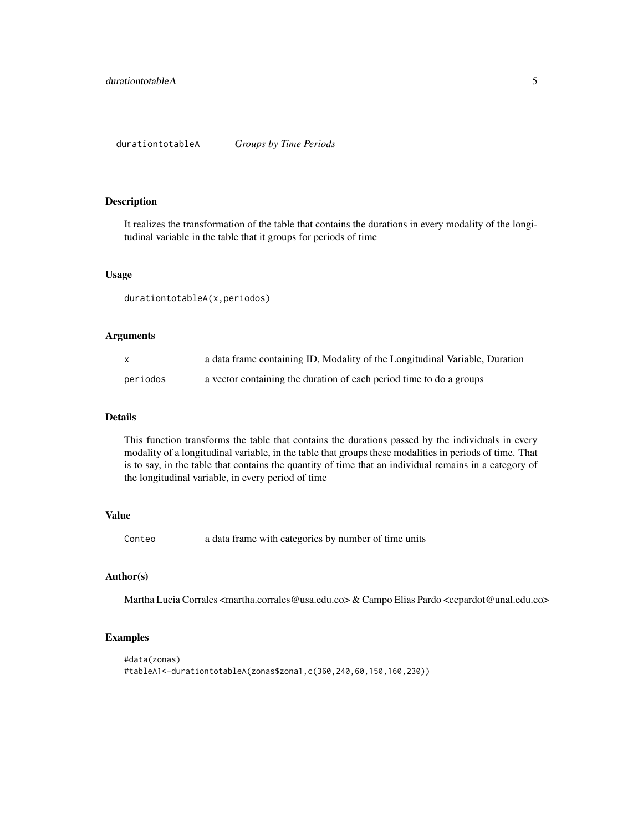<span id="page-4-0"></span>It realizes the transformation of the table that contains the durations in every modality of the longitudinal variable in the table that it groups for periods of time

#### Usage

durationtotableA(x,periodos)

#### Arguments

| X        | a data frame containing ID, Modality of the Longitudinal Variable, Duration |
|----------|-----------------------------------------------------------------------------|
| periodos | a vector containing the duration of each period time to do a groups         |

#### Details

This function transforms the table that contains the durations passed by the individuals in every modality of a longitudinal variable, in the table that groups these modalities in periods of time. That is to say, in the table that contains the quantity of time that an individual remains in a category of the longitudinal variable, in every period of time

#### Value

Conteo a data frame with categories by number of time units

#### Author(s)

Martha Lucia Corrales <martha.corrales@usa.edu.co> & Campo Elias Pardo <cepardot@unal.edu.co>

#### Examples

```
#data(zonas)
#tableA1<-durationtotableA(zonas$zona1,c(360,240,60,150,160,230))
```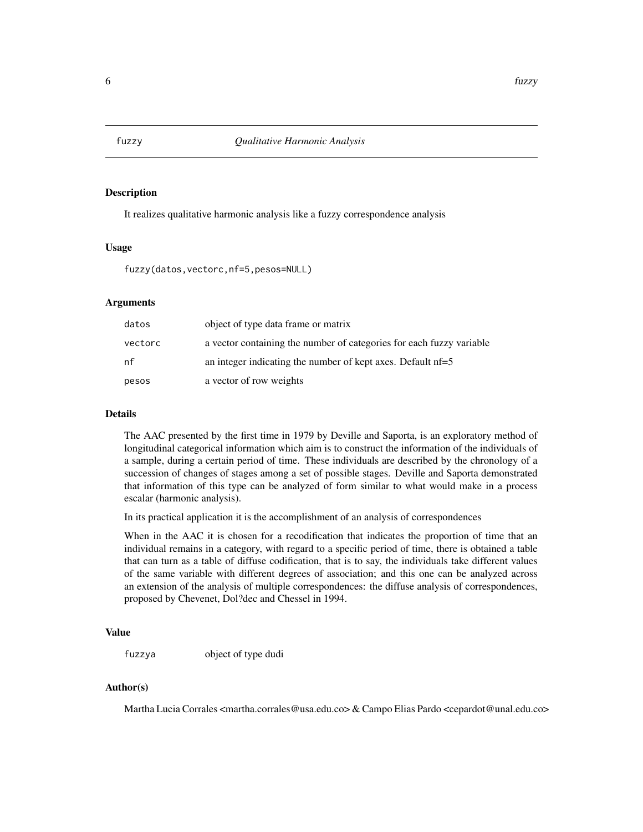<span id="page-5-0"></span>

It realizes qualitative harmonic analysis like a fuzzy correspondence analysis

#### Usage

fuzzy(datos,vectorc,nf=5,pesos=NULL)

#### Arguments

| datos   | object of type data frame or matrix                                  |
|---------|----------------------------------------------------------------------|
| vectorc | a vector containing the number of categories for each fuzzy variable |
| nf      | an integer indicating the number of kept axes. Default $nf=5$        |
| pesos   | a vector of row weights                                              |

#### Details

The AAC presented by the first time in 1979 by Deville and Saporta, is an exploratory method of longitudinal categorical information which aim is to construct the information of the individuals of a sample, during a certain period of time. These individuals are described by the chronology of a succession of changes of stages among a set of possible stages. Deville and Saporta demonstrated that information of this type can be analyzed of form similar to what would make in a process escalar (harmonic analysis).

In its practical application it is the accomplishment of an analysis of correspondences

When in the AAC it is chosen for a recodification that indicates the proportion of time that an individual remains in a category, with regard to a specific period of time, there is obtained a table that can turn as a table of diffuse codification, that is to say, the individuals take different values of the same variable with different degrees of association; and this one can be analyzed across an extension of the analysis of multiple correspondences: the diffuse analysis of correspondences, proposed by Chevenet, Dol?dec and Chessel in 1994.

#### Value

fuzzya object of type dudi

#### Author(s)

Martha Lucia Corrales <martha.corrales@usa.edu.co> & Campo Elias Pardo <cepardot@unal.edu.co>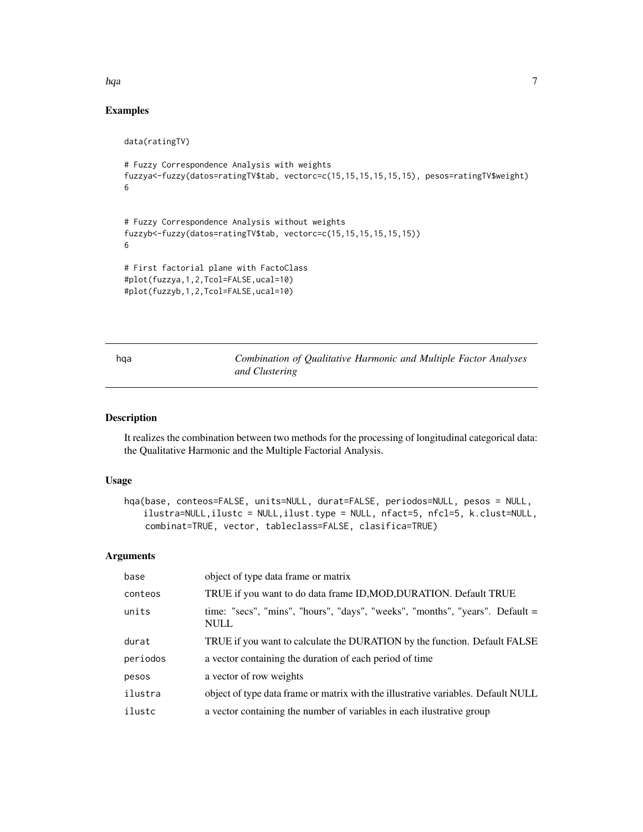#### <span id="page-6-0"></span>hqa *7*

### Examples

```
data(ratingTV)
# Fuzzy Correspondence Analysis with weights
fuzzya<-fuzzy(datos=ratingTV$tab, vectorc=c(15,15,15,15,15,15), pesos=ratingTV$weight)
6
# Fuzzy Correspondence Analysis without weights
fuzzyb<-fuzzy(datos=ratingTV$tab, vectorc=c(15,15,15,15,15,15))
6
# First factorial plane with FactoClass
#plot(fuzzya,1,2,Tcol=FALSE,ucal=10)
#plot(fuzzyb,1,2,Tcol=FALSE,ucal=10)
```
hqa *Combination of Qualitative Harmonic and Multiple Factor Analyses and Clustering*

#### Description

It realizes the combination between two methods for the processing of longitudinal categorical data: the Qualitative Harmonic and the Multiple Factorial Analysis.

#### Usage

```
hqa(base, conteos=FALSE, units=NULL, durat=FALSE, periodos=NULL, pesos = NULL,
   ilustra=NULL,ilustc = NULL,ilust.type = NULL, nfact=5, nfcl=5, k.clust=NULL,
    combinat=TRUE, vector, tableclass=FALSE, clasifica=TRUE)
```
#### Arguments

| base     | object of type data frame or matrix                                                         |
|----------|---------------------------------------------------------------------------------------------|
| conteos  | TRUE if you want to do data frame ID, MOD, DURATION. Default TRUE                           |
| units    | time: "secs", "mins", "hours", "days", "weeks", "months", "years". Default =<br><b>NULL</b> |
| durat    | TRUE if you want to calculate the DURATION by the function. Default FALSE                   |
| periodos | a vector containing the duration of each period of time                                     |
| pesos    | a vector of row weights                                                                     |
| ilustra  | object of type data frame or matrix with the illustrative variables. Default NULL           |
| ilustc   | a vector containing the number of variables in each ilustrative group                       |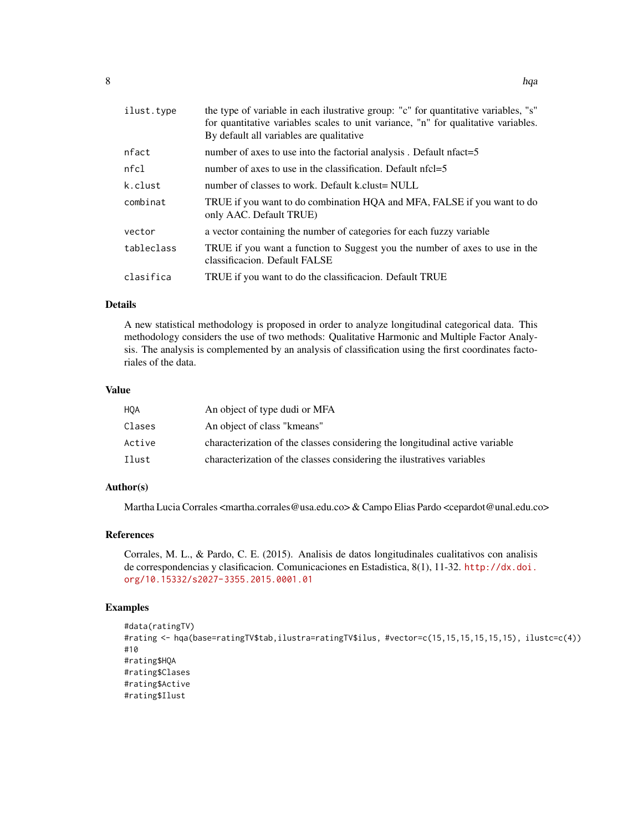| ilust.type | the type of variable in each ilustrative group: "c" for quantitative variables, "s"<br>for quantitative variables scales to unit variance, "n" for qualitative variables.<br>By default all variables are qualitative |
|------------|-----------------------------------------------------------------------------------------------------------------------------------------------------------------------------------------------------------------------|
| nfact      | number of axes to use into the factorial analysis. Default nfact=5                                                                                                                                                    |
| nfcl       | number of axes to use in the classification. Default nfcl=5                                                                                                                                                           |
| k.clust    | number of classes to work. Default k.clust= NULL                                                                                                                                                                      |
| combinat   | TRUE if you want to do combination HQA and MFA, FALSE if you want to do<br>only AAC. Default TRUE)                                                                                                                    |
| vector     | a vector containing the number of categories for each fuzzy variable                                                                                                                                                  |
| tableclass | TRUE if you want a function to Suggest you the number of axes to use in the<br>classificacion. Default FALSE                                                                                                          |
| clasifica  | TRUE if you want to do the classificacion. Default TRUE                                                                                                                                                               |
|            |                                                                                                                                                                                                                       |

#### Details

A new statistical methodology is proposed in order to analyze longitudinal categorical data. This methodology considers the use of two methods: Qualitative Harmonic and Multiple Factor Analysis. The analysis is complemented by an analysis of classification using the first coordinates factoriales of the data.

#### Value

| <b>HOA</b> | An object of type dudi or MFA                                                |
|------------|------------------------------------------------------------------------------|
| Clases     | An object of class "kmeans"                                                  |
| Active     | characterization of the classes considering the longitudinal active variable |
| Ilust      | characterization of the classes considering the ilustratives variables       |

#### Author(s)

Martha Lucia Corrales <martha.corrales@usa.edu.co> & Campo Elias Pardo <cepardot@unal.edu.co>

#### References

Corrales, M. L., & Pardo, C. E. (2015). Analisis de datos longitudinales cualitativos con analisis de correspondencias y clasificacion. Comunicaciones en Estadistica, 8(1), 11-32. [http://dx.doi.](http://dx.doi.org/10.15332/s2027-3355.2015.0001.01) [org/10.15332/s2027-3355.2015.0001.01](http://dx.doi.org/10.15332/s2027-3355.2015.0001.01)

#### Examples

```
#data(ratingTV)
#rating <- hqa(base=ratingTV$tab,ilustra=ratingTV$ilus, #vector=c(15,15,15,15,15,15), ilustc=c(4))
#10
#rating$HQA
#rating$Clases
#rating$Active
#rating$Ilust
```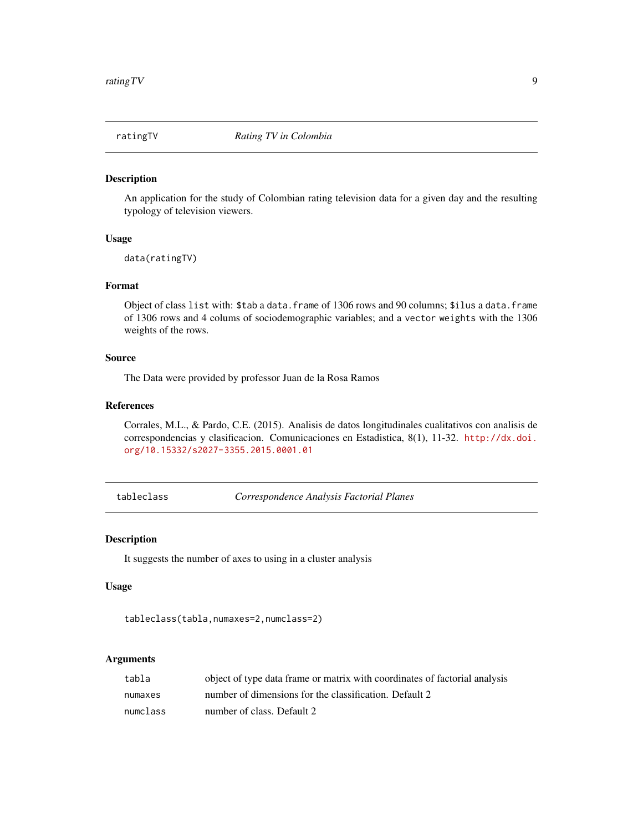<span id="page-8-0"></span>

An application for the study of Colombian rating television data for a given day and the resulting typology of television viewers.

#### Usage

data(ratingTV)

#### Format

Object of class list with: \$tab a data.frame of 1306 rows and 90 columns; \$ilus a data.frame of 1306 rows and 4 colums of sociodemographic variables; and a vector weights with the 1306 weights of the rows.

#### Source

The Data were provided by professor Juan de la Rosa Ramos

#### References

Corrales, M.L., & Pardo, C.E. (2015). Analisis de datos longitudinales cualitativos con analisis de correspondencias y clasificacion. Comunicaciones en Estadistica, 8(1), 11-32. [http://dx.doi.](http://dx.doi.org/10.15332/s2027-3355.2015.0001.01) [org/10.15332/s2027-3355.2015.0001.01](http://dx.doi.org/10.15332/s2027-3355.2015.0001.01)

tableclass *Correspondence Analysis Factorial Planes*

#### Description

It suggests the number of axes to using in a cluster analysis

#### Usage

```
tableclass(tabla,numaxes=2,numclass=2)
```
#### Arguments

| tabla    | object of type data frame or matrix with coordinates of factorial analysis |
|----------|----------------------------------------------------------------------------|
| numaxes  | number of dimensions for the classification. Default 2                     |
| numclass | number of class. Default 2                                                 |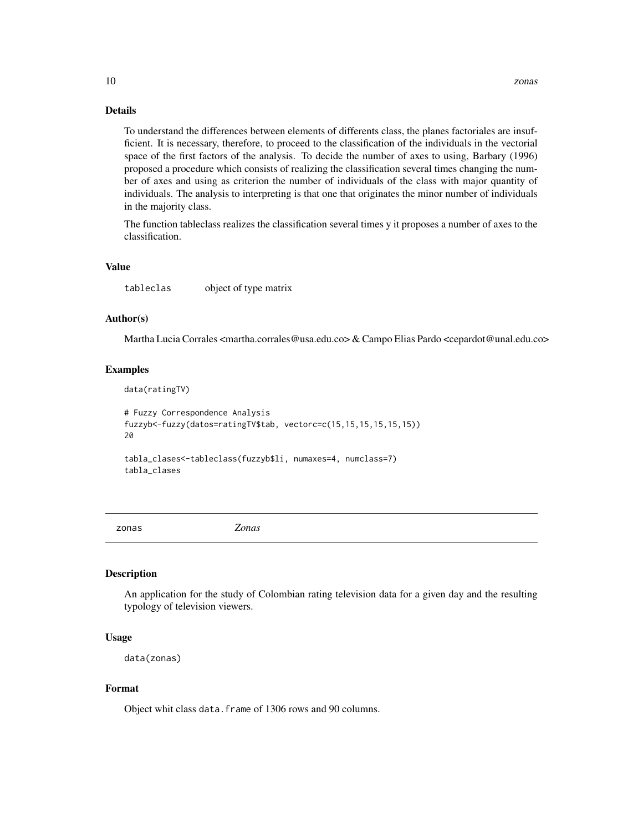#### Details

To understand the differences between elements of differents class, the planes factoriales are insufficient. It is necessary, therefore, to proceed to the classification of the individuals in the vectorial space of the first factors of the analysis. To decide the number of axes to using, Barbary (1996) proposed a procedure which consists of realizing the classification several times changing the number of axes and using as criterion the number of individuals of the class with major quantity of individuals. The analysis to interpreting is that one that originates the minor number of individuals in the majority class.

The function tableclass realizes the classification several times y it proposes a number of axes to the classification.

#### Value

tableclas object of type matrix

#### Author(s)

Martha Lucia Corrales <martha.corrales@usa.edu.co> & Campo Elias Pardo <cepardot@unal.edu.co>

#### Examples

```
data(ratingTV)
# Fuzzy Correspondence Analysis
fuzzyb<-fuzzy(datos=ratingTV$tab, vectorc=c(15,15,15,15,15,15))
20
tabla_clases<-tableclass(fuzzyb$li, numaxes=4, numclass=7)
tabla_clases
```
zonas *Zonas*

#### Description

An application for the study of Colombian rating television data for a given day and the resulting typology of television viewers.

#### Usage

```
data(zonas)
```
#### Format

Object whit class data.frame of 1306 rows and 90 columns.

<span id="page-9-0"></span>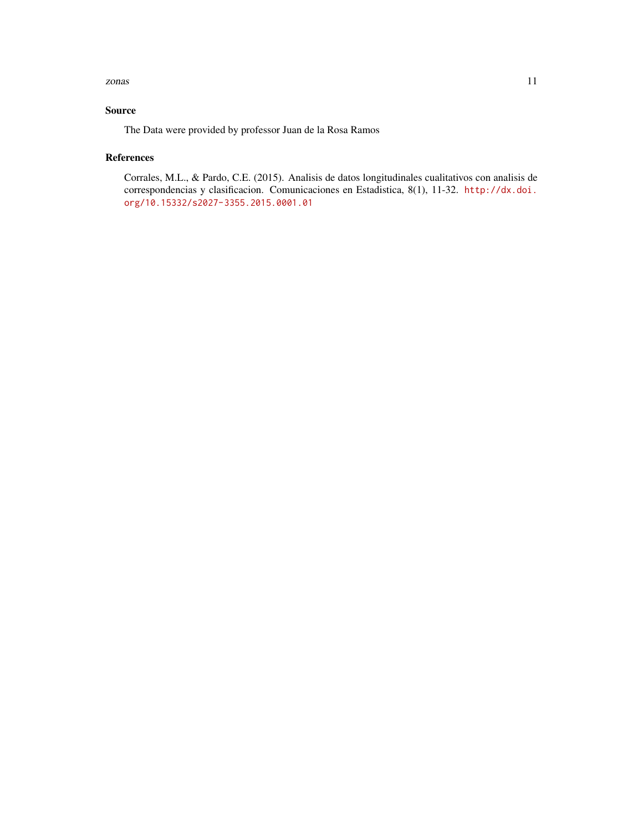#### zonas 11

#### Source

The Data were provided by professor Juan de la Rosa Ramos

#### References

Corrales, M.L., & Pardo, C.E. (2015). Analisis de datos longitudinales cualitativos con analisis de correspondencias y clasificacion. Comunicaciones en Estadistica, 8(1), 11-32. [http://dx.doi.](http://dx.doi.org/10.15332/s2027-3355.2015.0001.01) [org/10.15332/s2027-3355.2015.0001.01](http://dx.doi.org/10.15332/s2027-3355.2015.0001.01)